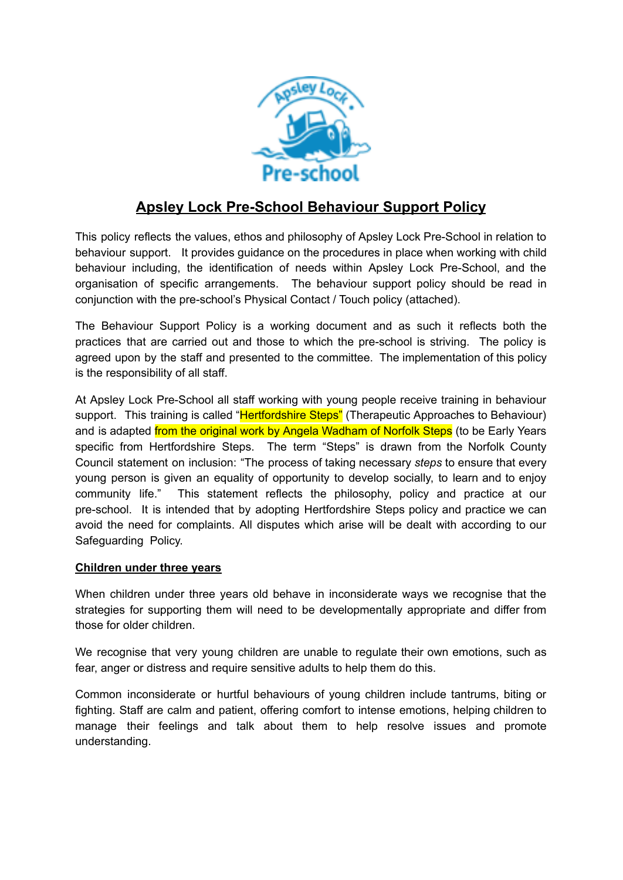

# **Apsley Lock Pre-School Behaviour Support Policy**

This policy reflects the values, ethos and philosophy of Apsley Lock Pre-School in relation to behaviour support. It provides guidance on the procedures in place when working with child behaviour including, the identification of needs within Apsley Lock Pre-School, and the organisation of specific arrangements. The behaviour support policy should be read in conjunction with the pre-school's Physical Contact / Touch policy (attached).

The Behaviour Support Policy is a working document and as such it reflects both the practices that are carried out and those to which the pre-school is striving. The policy is agreed upon by the staff and presented to the committee. The implementation of this policy is the responsibility of all staff.

At Apsley Lock Pre-School all staff working with young people receive training in behaviour support. This training is called "Hertfordshire Steps" (Therapeutic Approaches to Behaviour) and is adapted *from the original work by Angela Wadham of Norfolk Steps* (to be Early Years specific from Hertfordshire Steps. The term "Steps" is drawn from the Norfolk County Council statement on inclusion: "The process of taking necessary *steps* to ensure that every young person is given an equality of opportunity to develop socially, to learn and to enjoy community life." This statement reflects the philosophy, policy and practice at our pre-school. It is intended that by adopting Hertfordshire Steps policy and practice we can avoid the need for complaints. All disputes which arise will be dealt with according to our Safeguarding Policy.

## **Children under three years**

When children under three years old behave in inconsiderate ways we recognise that the strategies for supporting them will need to be developmentally appropriate and differ from those for older children.

We recognise that very young children are unable to regulate their own emotions, such as fear, anger or distress and require sensitive adults to help them do this.

Common inconsiderate or hurtful behaviours of young children include tantrums, biting or fighting. Staff are calm and patient, offering comfort to intense emotions, helping children to manage their feelings and talk about them to help resolve issues and promote understanding.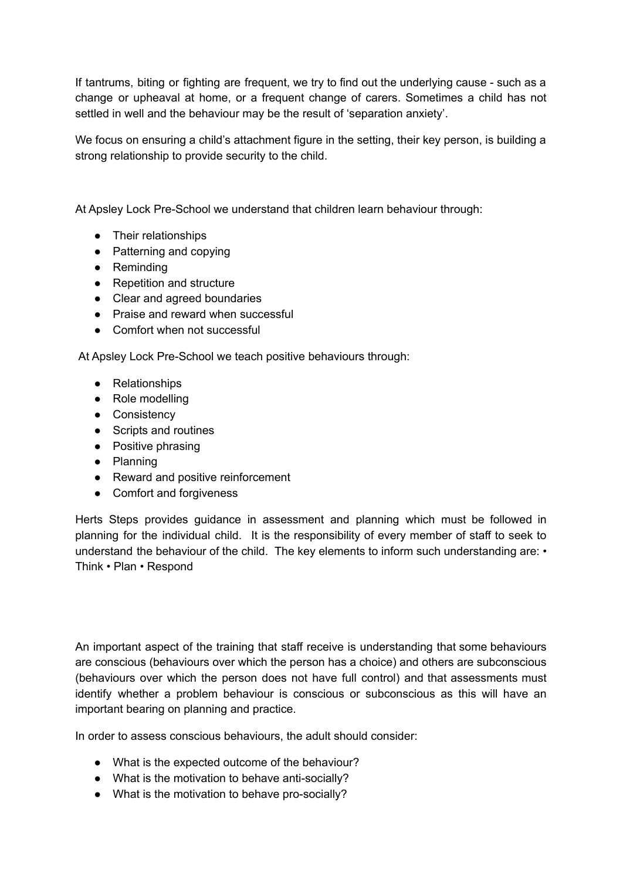If tantrums, biting or fighting are frequent, we try to find out the underlying cause - such as a change or upheaval at home, or a frequent change of carers. Sometimes a child has not settled in well and the behaviour may be the result of 'separation anxiety'.

We focus on ensuring a child's attachment figure in the setting, their key person, is building a strong relationship to provide security to the child.

At Apsley Lock Pre-School we understand that children learn behaviour through:

- Their relationships
- Patterning and copying
- Reminding
- Repetition and structure
- Clear and agreed boundaries
- Praise and reward when successful
- Comfort when not successful

At Apsley Lock Pre-School we teach positive behaviours through:

- Relationships
- Role modelling
- Consistency
- Scripts and routines
- Positive phrasing
- Planning
- Reward and positive reinforcement
- Comfort and forgiveness

Herts Steps provides guidance in assessment and planning which must be followed in planning for the individual child. It is the responsibility of every member of staff to seek to understand the behaviour of the child. The key elements to inform such understanding are: • Think • Plan • Respond

An important aspect of the training that staff receive is understanding that some behaviours are conscious (behaviours over which the person has a choice) and others are subconscious (behaviours over which the person does not have full control) and that assessments must identify whether a problem behaviour is conscious or subconscious as this will have an important bearing on planning and practice.

In order to assess conscious behaviours, the adult should consider:

- What is the expected outcome of the behaviour?
- What is the motivation to behave anti-socially?
- What is the motivation to behave pro-socially?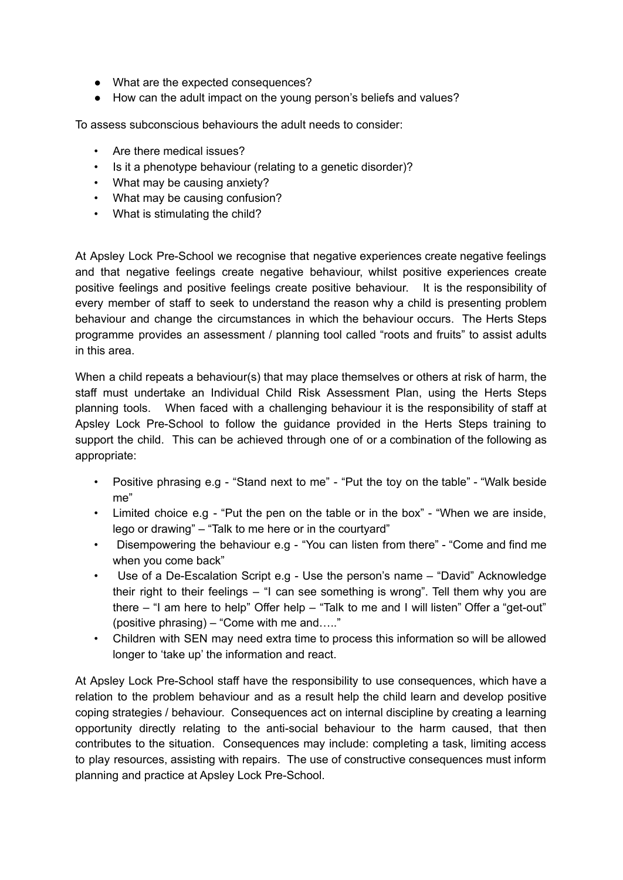- What are the expected consequences?
- How can the adult impact on the young person's beliefs and values?

To assess subconscious behaviours the adult needs to consider:

- Are there medical issues?
- Is it a phenotype behaviour (relating to a genetic disorder)?
- What may be causing anxiety?
- What may be causing confusion?
- What is stimulating the child?

At Apsley Lock Pre-School we recognise that negative experiences create negative feelings and that negative feelings create negative behaviour, whilst positive experiences create positive feelings and positive feelings create positive behaviour. It is the responsibility of every member of staff to seek to understand the reason why a child is presenting problem behaviour and change the circumstances in which the behaviour occurs. The Herts Steps programme provides an assessment / planning tool called "roots and fruits" to assist adults in this area.

When a child repeats a behaviour(s) that may place themselves or others at risk of harm, the staff must undertake an Individual Child Risk Assessment Plan, using the Herts Steps planning tools. When faced with a challenging behaviour it is the responsibility of staff at Apsley Lock Pre-School to follow the guidance provided in the Herts Steps training to support the child. This can be achieved through one of or a combination of the following as appropriate:

- Positive phrasing e.g "Stand next to me" "Put the toy on the table" "Walk beside me"
- Limited choice e.g "Put the pen on the table or in the box" "When we are inside. lego or drawing" – "Talk to me here or in the courtyard"
- Disempowering the behaviour e.g "You can listen from there" "Come and find me when you come back"
- Use of a De-Escalation Script e.g Use the person's name "David" Acknowledge their right to their feelings – "I can see something is wrong". Tell them why you are there – "I am here to help" Offer help – "Talk to me and I will listen" Offer a "get-out" (positive phrasing) – "Come with me and….."
- Children with SEN may need extra time to process this information so will be allowed longer to 'take up' the information and react.

At Apsley Lock Pre-School staff have the responsibility to use consequences, which have a relation to the problem behaviour and as a result help the child learn and develop positive coping strategies / behaviour. Consequences act on internal discipline by creating a learning opportunity directly relating to the anti-social behaviour to the harm caused, that then contributes to the situation. Consequences may include: completing a task, limiting access to play resources, assisting with repairs. The use of constructive consequences must inform planning and practice at Apsley Lock Pre-School.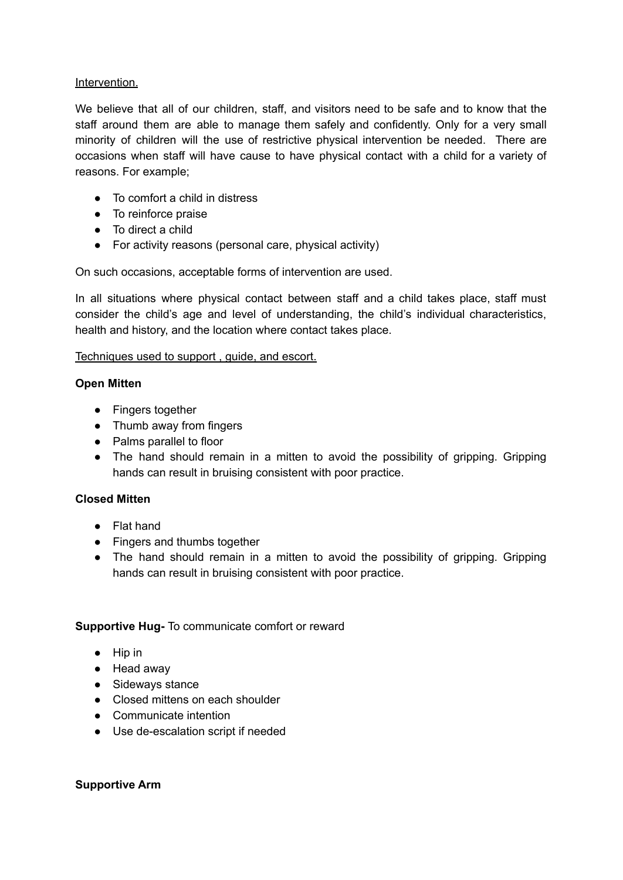### Intervention.

We believe that all of our children, staff, and visitors need to be safe and to know that the staff around them are able to manage them safely and confidently. Only for a very small minority of children will the use of restrictive physical intervention be needed. There are occasions when staff will have cause to have physical contact with a child for a variety of reasons. For example;

- To comfort a child in distress
- To reinforce praise
- To direct a child
- For activity reasons (personal care, physical activity)

On such occasions, acceptable forms of intervention are used.

In all situations where physical contact between staff and a child takes place, staff must consider the child's age and level of understanding, the child's individual characteristics, health and history, and the location where contact takes place.

## Techniques used to support , guide, and escort.

## **Open Mitten**

- Fingers together
- Thumb away from fingers
- Palms parallel to floor
- The hand should remain in a mitten to avoid the possibility of gripping. Gripping hands can result in bruising consistent with poor practice.

# **Closed Mitten**

- Flat hand
- **●** Fingers and thumbs together
- **●** The hand should remain in a mitten to avoid the possibility of gripping. Gripping hands can result in bruising consistent with poor practice.

## **Supportive Hug-** To communicate comfort or reward

- Hip in
- Head away
- Sideways stance
- Closed mittens on each shoulder
- Communicate intention
- Use de-escalation script if needed

#### **Supportive Arm**